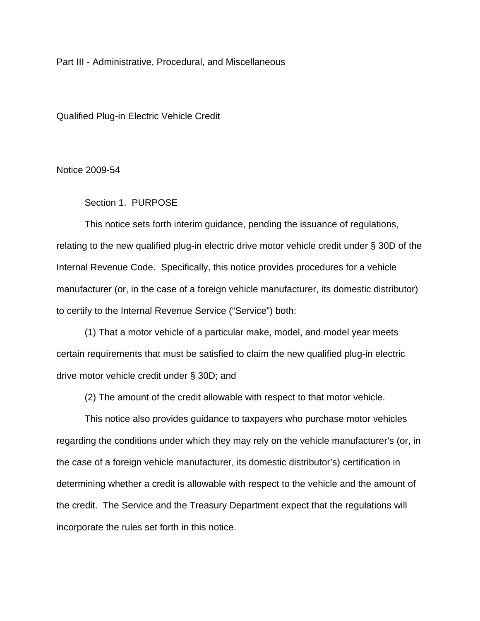Part III - Administrative, Procedural, and Miscellaneous

Qualified Plug-in Electric Vehicle Credit

Notice 2009-54

Section 1. PURPOSE

This notice sets forth interim guidance, pending the issuance of regulations, relating to the new qualified plug-in electric drive motor vehicle credit under § 30D of the Internal Revenue Code. Specifically, this notice provides procedures for a vehicle manufacturer (or, in the case of a foreign vehicle manufacturer, its domestic distributor) to certify to the Internal Revenue Service ("Service") both:

(1) That a motor vehicle of a particular make, model, and model year meets certain requirements that must be satisfied to claim the new qualified plug-in electric drive motor vehicle credit under § 30D; and

(2) The amount of the credit allowable with respect to that motor vehicle.

This notice also provides guidance to taxpayers who purchase motor vehicles regarding the conditions under which they may rely on the vehicle manufacturer's (or, in the case of a foreign vehicle manufacturer, its domestic distributor's) certification in determining whether a credit is allowable with respect to the vehicle and the amount of the credit. The Service and the Treasury Department expect that the regulations will incorporate the rules set forth in this notice.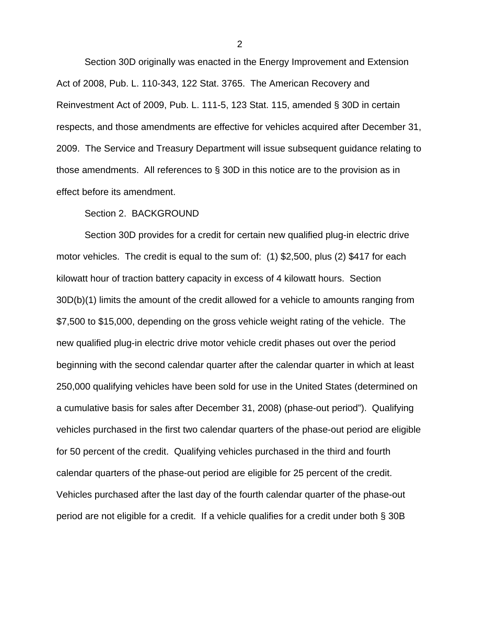Section 30D originally was enacted in the Energy Improvement and Extension Act of 2008, Pub. L. 110-343, 122 Stat. 3765. The American Recovery and Reinvestment Act of 2009, Pub. L. 111-5, 123 Stat. 115, amended § 30D in certain respects, and those amendments are effective for vehicles acquired after December 31, 2009. The Service and Treasury Department will issue subsequent guidance relating to those amendments. All references to § 30D in this notice are to the provision as in effect before its amendment.

## Section 2. BACKGROUND

Section 30D provides for a credit for certain new qualified plug-in electric drive motor vehicles. The credit is equal to the sum of: (1) \$2,500, plus (2) \$417 for each kilowatt hour of traction battery capacity in excess of 4 kilowatt hours. Section 30D(b)(1) limits the amount of the credit allowed for a vehicle to amounts ranging from \$7,500 to \$15,000, depending on the gross vehicle weight rating of the vehicle. The new qualified plug-in electric drive motor vehicle credit phases out over the period beginning with the second calendar quarter after the calendar quarter in which at least 250,000 qualifying vehicles have been sold for use in the United States (determined on a cumulative basis for sales after December 31, 2008) (phase-out period"). Qualifying vehicles purchased in the first two calendar quarters of the phase-out period are eligible for 50 percent of the credit. Qualifying vehicles purchased in the third and fourth calendar quarters of the phase-out period are eligible for 25 percent of the credit. Vehicles purchased after the last day of the fourth calendar quarter of the phase-out period are not eligible for a credit. If a vehicle qualifies for a credit under both § 30B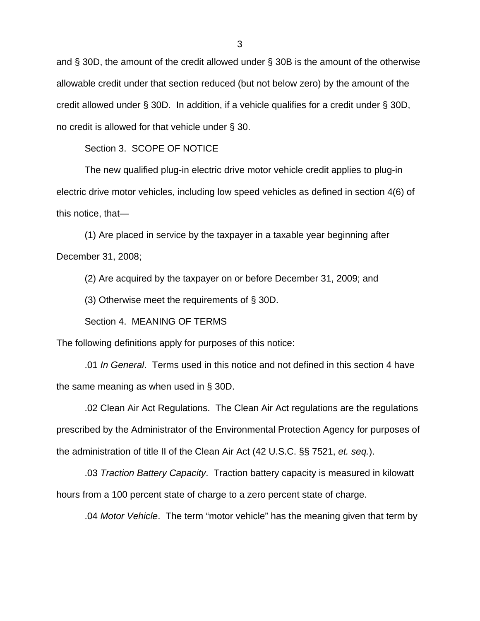and § 30D, the amount of the credit allowed under § 30B is the amount of the otherwise allowable credit under that section reduced (but not below zero) by the amount of the credit allowed under § 30D. In addition, if a vehicle qualifies for a credit under § 30D, no credit is allowed for that vehicle under § 30.

Section 3. SCOPE OF NOTICE

The new qualified plug-in electric drive motor vehicle credit applies to plug-in electric drive motor vehicles, including low speed vehicles as defined in section 4(6) of this notice, that—

(1) Are placed in service by the taxpayer in a taxable year beginning after December 31, 2008;

(2) Are acquired by the taxpayer on or before December 31, 2009; and

(3) Otherwise meet the requirements of § 30D.

Section 4. MEANING OF TERMS

The following definitions apply for purposes of this notice:

.01 *In General*. Terms used in this notice and not defined in this section 4 have the same meaning as when used in § 30D.

.02 Clean Air Act Regulations. The Clean Air Act regulations are the regulations prescribed by the Administrator of the Environmental Protection Agency for purposes of the administration of title II of the Clean Air Act (42 U.S.C. §§ 7521, *et. seq.*).

.03 *Traction Battery Capacity*. Traction battery capacity is measured in kilowatt hours from a 100 percent state of charge to a zero percent state of charge.

.04 *Motor Vehicle*. The term "motor vehicle" has the meaning given that term by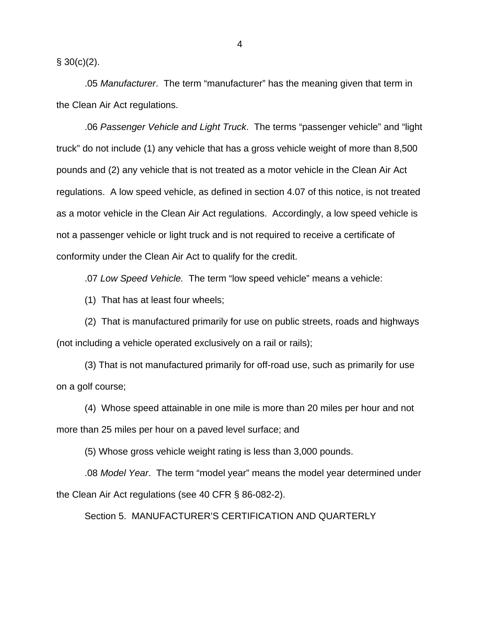$§ 30(c)(2)$ .

.05 *Manufacturer*. The term "manufacturer" has the meaning given that term in the Clean Air Act regulations.

.06 *Passenger Vehicle and Light Truck*. The terms "passenger vehicle" and "light truck" do not include (1) any vehicle that has a gross vehicle weight of more than 8,500 pounds and (2) any vehicle that is not treated as a motor vehicle in the Clean Air Act regulations. A low speed vehicle, as defined in section 4.07 of this notice, is not treated as a motor vehicle in the Clean Air Act regulations. Accordingly, a low speed vehicle is not a passenger vehicle or light truck and is not required to receive a certificate of conformity under the Clean Air Act to qualify for the credit.

.07 *Low Speed Vehicle.* The term "low speed vehicle" means a vehicle:

(1) That has at least four wheels;

(2) That is manufactured primarily for use on public streets, roads and highways (not including a vehicle operated exclusively on a rail or rails);

(3) That is not manufactured primarily for off-road use, such as primarily for use on a golf course;

(4) Whose speed attainable in one mile is more than 20 miles per hour and not more than 25 miles per hour on a paved level surface; and

(5) Whose gross vehicle weight rating is less than 3,000 pounds.

.08 *Model Year*. The term "model year" means the model year determined under the Clean Air Act regulations (see 40 CFR § 86-082-2).

Section 5. MANUFACTURER'S CERTIFICATION AND QUARTERLY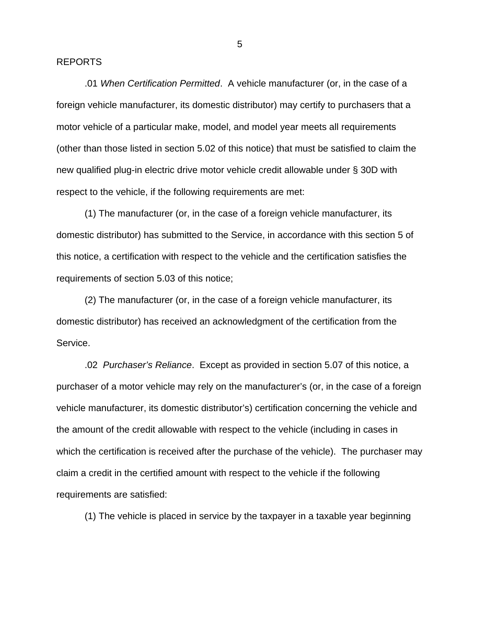## REPORTS

 .01 *When Certification Permitted*. A vehicle manufacturer (or, in the case of a foreign vehicle manufacturer, its domestic distributor) may certify to purchasers that a motor vehicle of a particular make, model, and model year meets all requirements (other than those listed in section 5.02 of this notice) that must be satisfied to claim the new qualified plug-in electric drive motor vehicle credit allowable under § 30D with respect to the vehicle, if the following requirements are met:

 (1) The manufacturer (or, in the case of a foreign vehicle manufacturer, its domestic distributor) has submitted to the Service, in accordance with this section 5 of this notice, a certification with respect to the vehicle and the certification satisfies the requirements of section 5.03 of this notice;

 (2) The manufacturer (or, in the case of a foreign vehicle manufacturer, its domestic distributor) has received an acknowledgment of the certification from the Service.

 .02 *Purchaser's Reliance*. Except as provided in section 5.07 of this notice, a purchaser of a motor vehicle may rely on the manufacturer's (or, in the case of a foreign vehicle manufacturer, its domestic distributor's) certification concerning the vehicle and the amount of the credit allowable with respect to the vehicle (including in cases in which the certification is received after the purchase of the vehicle). The purchaser may claim a credit in the certified amount with respect to the vehicle if the following requirements are satisfied:

(1) The vehicle is placed in service by the taxpayer in a taxable year beginning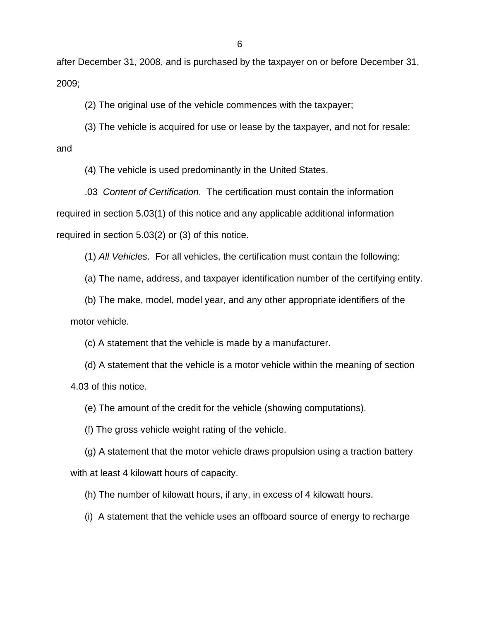after December 31, 2008, and is purchased by the taxpayer on or before December 31, 2009;

(2) The original use of the vehicle commences with the taxpayer;

(3) The vehicle is acquired for use or lease by the taxpayer, and not for resale; and

(4) The vehicle is used predominantly in the United States.

.03 *Content of Certification*. The certification must contain the information required in section 5.03(1) of this notice and any applicable additional information required in section 5.03(2) or (3) of this notice.

(1) *All Vehicles*. For all vehicles, the certification must contain the following:

(a) The name, address, and taxpayer identification number of the certifying entity.

(b) The make, model, model year, and any other appropriate identifiers of the motor vehicle.

(c) A statement that the vehicle is made by a manufacturer.

(d) A statement that the vehicle is a motor vehicle within the meaning of section 4.03 of this notice.

(e) The amount of the credit for the vehicle (showing computations).

(f) The gross vehicle weight rating of the vehicle.

(g) A statement that the motor vehicle draws propulsion using a traction battery with at least 4 kilowatt hours of capacity.

(h) The number of kilowatt hours, if any, in excess of 4 kilowatt hours.

(i) A statement that the vehicle uses an offboard source of energy to recharge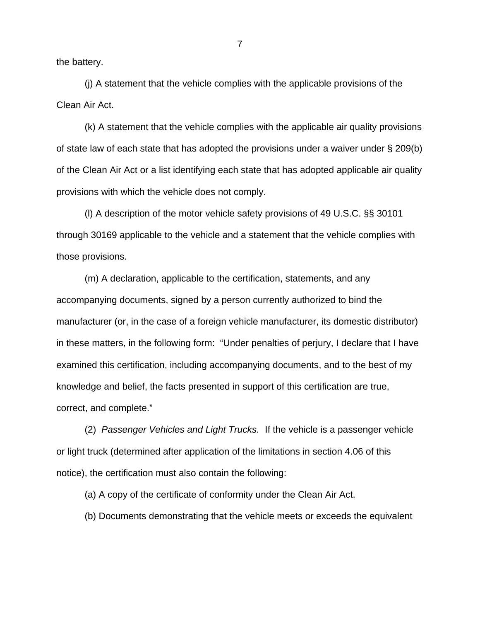the battery.

(j) A statement that the vehicle complies with the applicable provisions of the Clean Air Act.

(k) A statement that the vehicle complies with the applicable air quality provisions of state law of each state that has adopted the provisions under a waiver under  $\S 209(b)$ of the Clean Air Act or a list identifying each state that has adopted applicable air quality provisions with which the vehicle does not comply.

(l) A description of the motor vehicle safety provisions of 49 U.S.C. §§ 30101 through 30169 applicable to the vehicle and a statement that the vehicle complies with those provisions.

(m) A declaration, applicable to the certification, statements, and any accompanying documents, signed by a person currently authorized to bind the manufacturer (or, in the case of a foreign vehicle manufacturer, its domestic distributor) in these matters, in the following form: "Under penalties of perjury, I declare that I have examined this certification, including accompanying documents, and to the best of my knowledge and belief, the facts presented in support of this certification are true, correct, and complete."

(2) *Passenger Vehicles and Light Trucks*. If the vehicle is a passenger vehicle or light truck (determined after application of the limitations in section 4.06 of this notice), the certification must also contain the following:

(a) A copy of the certificate of conformity under the Clean Air Act.

(b) Documents demonstrating that the vehicle meets or exceeds the equivalent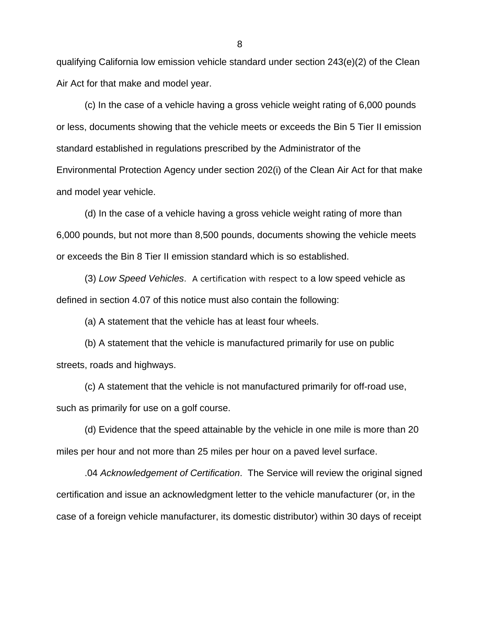qualifying California low emission vehicle standard under section 243(e)(2) of the Clean Air Act for that make and model year.

(c) In the case of a vehicle having a gross vehicle weight rating of 6,000 pounds or less, documents showing that the vehicle meets or exceeds the Bin 5 Tier II emission standard established in regulations prescribed by the Administrator of the Environmental Protection Agency under section 202(i) of the Clean Air Act for that make and model year vehicle.

(d) In the case of a vehicle having a gross vehicle weight rating of more than 6,000 pounds, but not more than 8,500 pounds, documents showing the vehicle meets or exceeds the Bin 8 Tier II emission standard which is so established.

(3) *Low Speed Vehicles*. A certification with respect to a low speed vehicle as defined in section 4.07 of this notice must also contain the following:

(a) A statement that the vehicle has at least four wheels.

(b) A statement that the vehicle is manufactured primarily for use on public streets, roads and highways.

(c) A statement that the vehicle is not manufactured primarily for off-road use, such as primarily for use on a golf course.

(d) Evidence that the speed attainable by the vehicle in one mile is more than 20 miles per hour and not more than 25 miles per hour on a paved level surface.

.04 *Acknowledgement of Certification*. The Service will review the original signed certification and issue an acknowledgment letter to the vehicle manufacturer (or, in the case of a foreign vehicle manufacturer, its domestic distributor) within 30 days of receipt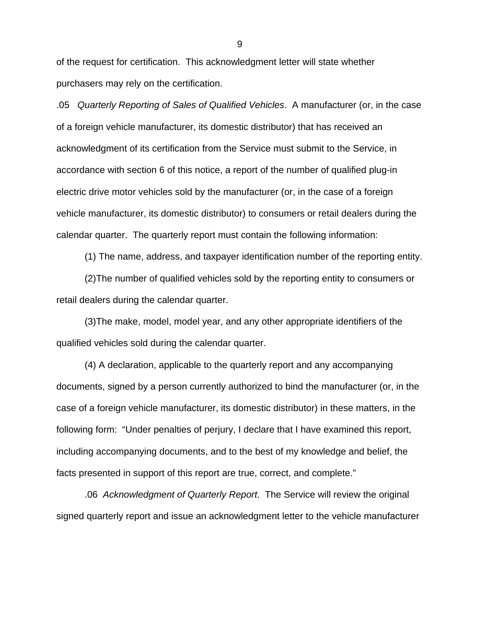of the request for certification. This acknowledgment letter will state whether purchasers may rely on the certification.

.05 *Quarterly Reporting of Sales of Qualified Vehicles*. A manufacturer (or, in the case of a foreign vehicle manufacturer, its domestic distributor) that has received an acknowledgment of its certification from the Service must submit to the Service, in accordance with section 6 of this notice, a report of the number of qualified plug-in electric drive motor vehicles sold by the manufacturer (or, in the case of a foreign vehicle manufacturer, its domestic distributor) to consumers or retail dealers during the calendar quarter. The quarterly report must contain the following information:

(1) The name, address, and taxpayer identification number of the reporting entity.

(2)The number of qualified vehicles sold by the reporting entity to consumers or retail dealers during the calendar quarter.

(3)The make, model, model year, and any other appropriate identifiers of the qualified vehicles sold during the calendar quarter.

(4) A declaration, applicable to the quarterly report and any accompanying documents, signed by a person currently authorized to bind the manufacturer (or, in the case of a foreign vehicle manufacturer, its domestic distributor) in these matters, in the following form: "Under penalties of perjury, I declare that I have examined this report, including accompanying documents, and to the best of my knowledge and belief, the facts presented in support of this report are true, correct, and complete."

.06 *Acknowledgment of Quarterly Report*. The Service will review the original signed quarterly report and issue an acknowledgment letter to the vehicle manufacturer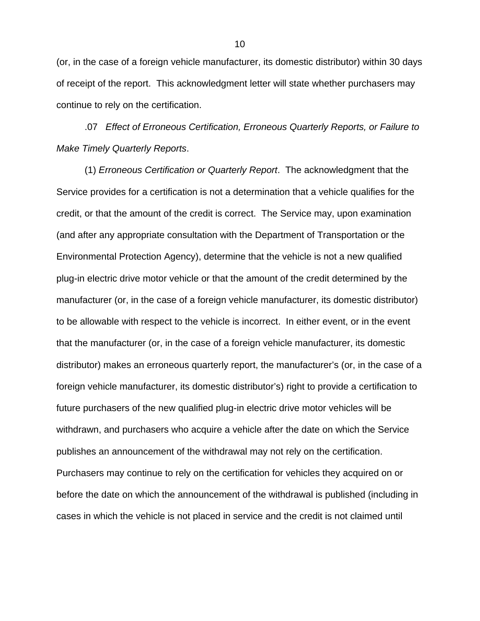(or, in the case of a foreign vehicle manufacturer, its domestic distributor) within 30 days of receipt of the report. This acknowledgment letter will state whether purchasers may continue to rely on the certification.

.07 *Effect of Erroneous Certification, Erroneous Quarterly Reports, or Failure to Make Timely Quarterly Reports*.

(1) *Erroneous Certification or Quarterly Report*. The acknowledgment that the Service provides for a certification is not a determination that a vehicle qualifies for the credit, or that the amount of the credit is correct. The Service may, upon examination (and after any appropriate consultation with the Department of Transportation or the Environmental Protection Agency), determine that the vehicle is not a new qualified plug-in electric drive motor vehicle or that the amount of the credit determined by the manufacturer (or, in the case of a foreign vehicle manufacturer, its domestic distributor) to be allowable with respect to the vehicle is incorrect. In either event, or in the event that the manufacturer (or, in the case of a foreign vehicle manufacturer, its domestic distributor) makes an erroneous quarterly report, the manufacturer's (or, in the case of a foreign vehicle manufacturer, its domestic distributor's) right to provide a certification to future purchasers of the new qualified plug-in electric drive motor vehicles will be withdrawn, and purchasers who acquire a vehicle after the date on which the Service publishes an announcement of the withdrawal may not rely on the certification. Purchasers may continue to rely on the certification for vehicles they acquired on or before the date on which the announcement of the withdrawal is published (including in cases in which the vehicle is not placed in service and the credit is not claimed until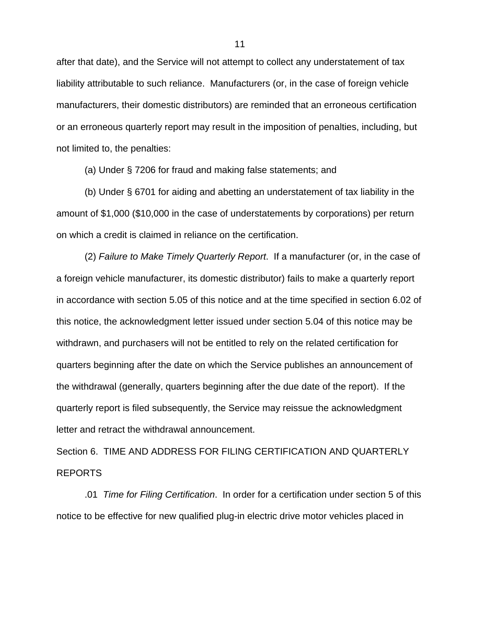after that date), and the Service will not attempt to collect any understatement of tax liability attributable to such reliance. Manufacturers (or, in the case of foreign vehicle manufacturers, their domestic distributors) are reminded that an erroneous certification or an erroneous quarterly report may result in the imposition of penalties, including, but not limited to, the penalties:

(a) Under § 7206 for fraud and making false statements; and

(b) Under § 6701 for aiding and abetting an understatement of tax liability in the amount of \$1,000 (\$10,000 in the case of understatements by corporations) per return on which a credit is claimed in reliance on the certification.

(2) *Failure to Make Timely Quarterly Report*. If a manufacturer (or, in the case of a foreign vehicle manufacturer, its domestic distributor) fails to make a quarterly report in accordance with section 5.05 of this notice and at the time specified in section 6.02 of this notice, the acknowledgment letter issued under section 5.04 of this notice may be withdrawn, and purchasers will not be entitled to rely on the related certification for quarters beginning after the date on which the Service publishes an announcement of the withdrawal (generally, quarters beginning after the due date of the report). If the quarterly report is filed subsequently, the Service may reissue the acknowledgment letter and retract the withdrawal announcement.

Section 6. TIME AND ADDRESS FOR FILING CERTIFICATION AND QUARTERLY REPORTS

 .01 *Time for Filing Certification*. In order for a certification under section 5 of this notice to be effective for new qualified plug-in electric drive motor vehicles placed in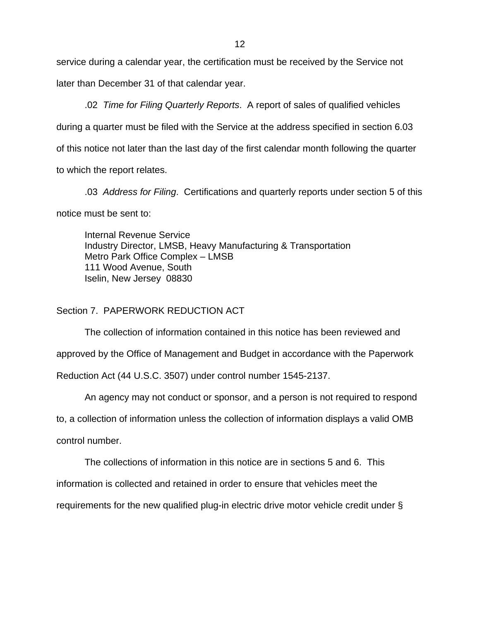service during a calendar year, the certification must be received by the Service not later than December 31 of that calendar year.

 .02 *Time for Filing Quarterly Reports*. A report of sales of qualified vehicles during a quarter must be filed with the Service at the address specified in section 6.03 of this notice not later than the last day of the first calendar month following the quarter to which the report relates.

 .03 *Address for Filing*. Certifications and quarterly reports under section 5 of this notice must be sent to:

Internal Revenue Service Industry Director, LMSB, Heavy Manufacturing & Transportation Metro Park Office Complex – LMSB 111 Wood Avenue, South Iselin, New Jersey 08830

## Section 7. PAPERWORK REDUCTION ACT

The collection of information contained in this notice has been reviewed and approved by the Office of Management and Budget in accordance with the Paperwork Reduction Act (44 U.S.C. 3507) under control number 1545-2137.

An agency may not conduct or sponsor, and a person is not required to respond

to, a collection of information unless the collection of information displays a valid OMB

control number.

The collections of information in this notice are in sections 5 and 6. This

information is collected and retained in order to ensure that vehicles meet the

requirements for the new qualified plug-in electric drive motor vehicle credit under §